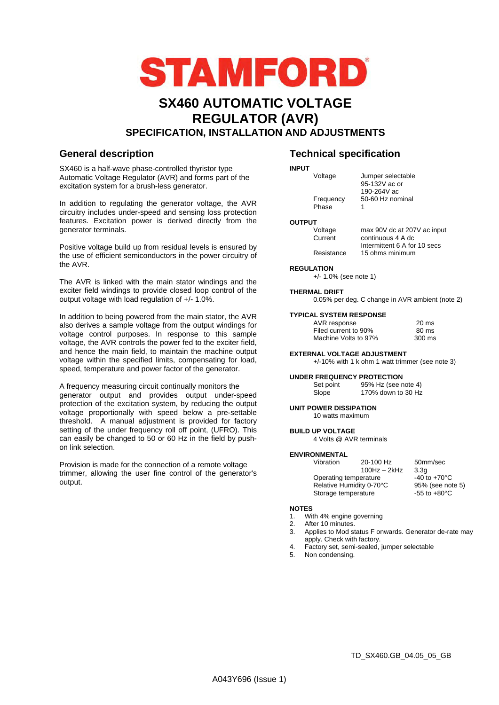

# **SX460 AUTOMATIC VOLTAGE REGULATOR (AVR) SPECIFICATION, INSTALLATION AND ADJUSTMENTS**

SX460 is a half-wave phase-controlled thyristor type Automatic Voltage Regulator (AVR) and forms part of the excitation system for a brush-less generator.

In addition to regulating the generator voltage, the AVR circuitry includes under-speed and sensing loss protection features. Excitation power is derived directly from the generator terminals.

Positive voltage build up from residual levels is ensured by the use of efficient semiconductors in the power circuitry of the AVR.

The AVR is linked with the main stator windings and the exciter field windings to provide closed loop control of the output voltage with load regulation of +/- 1.0%.

In addition to being powered from the main stator, the AVR also derives a sample voltage from the output windings for voltage control purposes. In response to this sample voltage, the AVR controls the power fed to the exciter field, and hence the main field, to maintain the machine output voltage within the specified limits, compensating for load, speed, temperature and power factor of the generator.

A frequency measuring circuit continually monitors the generator output and provides output under-speed protection of the excitation system, by reducing the output voltage proportionally with speed below a pre-settable threshold. A manual adjustment is provided for factory setting of the under frequency roll off point, (UFRO). This can easily be changed to 50 or 60 Hz in the field by pushon link selection.

Provision is made for the connection of a remote voltage trimmer, allowing the user fine control of the generator's output.

# **General description Technical specification**

#### **INPUT**

|               | Voltage            | Jumper selectable<br>95-132V ac or<br>190-264V ac      |  |
|---------------|--------------------|--------------------------------------------------------|--|
|               | Frequency<br>Phase | 50-60 Hz nominal<br>1                                  |  |
| <b>OUTPUT</b> |                    |                                                        |  |
|               | Voltage<br>$\sim$  | max 90V dc at 207V ac input<br>and the common of Andre |  |

### **OUTP**

 Current continuous 4 A dc Intermittent 6 A for 10 secs Resistance 15 ohms minimum

### **REGULATION**

+/- 1.0% (see note 1)

**THERMAL DRIFT**  0.05% per deg. C change in AVR ambient (note 2)

### **TYPICAL SYSTEM RESPONSE**

| AVR response         | 20 ms  |
|----------------------|--------|
| Filed current to 90% | 80 ms  |
| Machine Volts to 97% | 300 ms |

### **EXTERNAL VOLTAGE ADJUSTMENT**

+/-10% with 1 k ohm 1 watt trimmer (see note 3)

### **UNDER FREQUENCY PROTECTION**

Set point 95% Hz (see note 4) Slope 170% down to 30 Hz

**UNIT POWER DISSIPATION**  10 watts maximum

**BUILD UP VOLTAGE**  4 Volts @ AVR terminals

### **ENVIRONMENTAL**

| Vibration | 20-100 Hz<br>$100Hz - 2kHz$                                              | 50mm/sec<br>3.3 <sub>a</sub> |
|-----------|--------------------------------------------------------------------------|------------------------------|
|           | Operating temperature<br>Relative Humidity 0-70°C<br>Storage temperature |                              |

### **NOTES**

- 1. With 4% engine governing
- 2. After 10 minutes.
- 3. Applies to Mod status F onwards. Generator de-rate may apply. Check with factory.
- 4. Factory set, semi-sealed, jumper selectable<br>5. Non condensing
- Non condensing.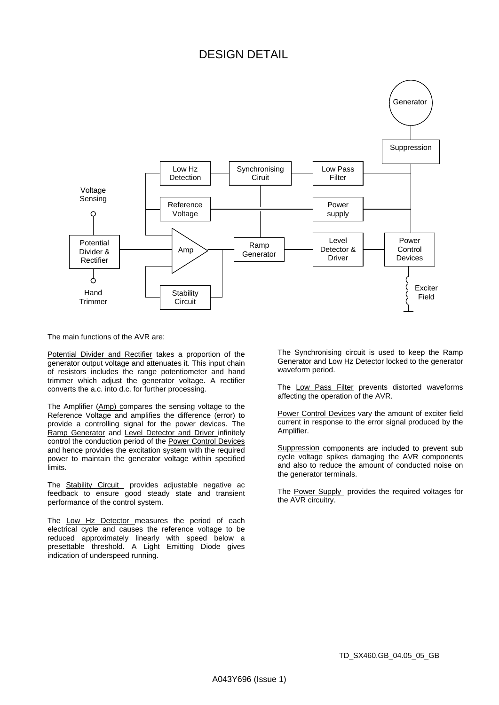# DESIGN DETAIL



The main functions of the AVR are:

Potential Divider and Rectifier takes a proportion of the generator output voltage and attenuates it. This input chain of resistors includes the range potentiometer and hand trimmer which adjust the generator voltage. A rectifier converts the a.c. into d.c. for further processing.

The Amplifier (Amp) compares the sensing voltage to the Reference Voltage and amplifies the difference (error) to provide a controlling signal for the power devices. The Ramp Generator and Level Detector and Driver infinitely control the conduction period of the Power Control Devices and hence provides the excitation system with the required power to maintain the generator voltage within specified limits.

The Stability Circuit provides adjustable negative ac feedback to ensure good steady state and transient performance of the control system.

The Low Hz Detector measures the period of each electrical cycle and causes the reference voltage to be reduced approximately linearly with speed below a presettable threshold. A Light Emitting Diode gives indication of underspeed running.

The **Synchronising circuit** is used to keep the Ramp Generator and Low Hz Detector locked to the generator waveform period.

The Low Pass Filter prevents distorted waveforms affecting the operation of the AVR.

Power Control Devices vary the amount of exciter field current in response to the error signal produced by the Amplifier.

Suppression components are included to prevent sub cycle voltage spikes damaging the AVR components and also to reduce the amount of conducted noise on the generator terminals.

The Power Supply provides the required voltages for the AVR circuitry.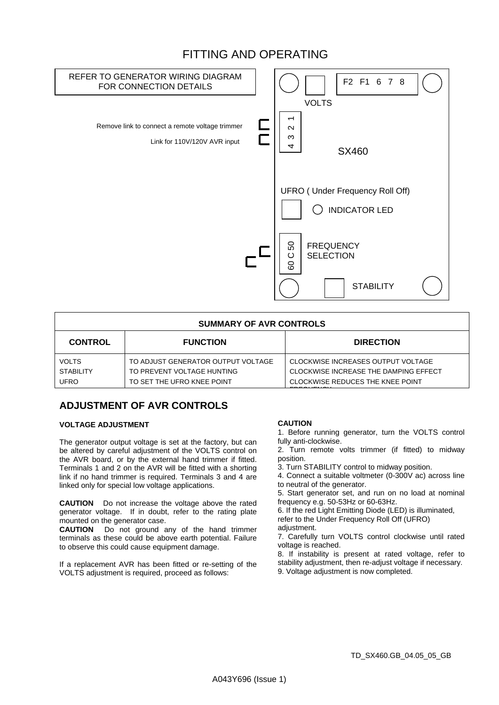# FITTING AND OPERATING



| <b>SUMMARY OF AVR CONTROLS</b>                  |                                                                                                |                                                                                                                                      |  |  |  |
|-------------------------------------------------|------------------------------------------------------------------------------------------------|--------------------------------------------------------------------------------------------------------------------------------------|--|--|--|
| <b>CONTROL</b>                                  | <b>FUNCTION</b>                                                                                | <b>DIRECTION</b>                                                                                                                     |  |  |  |
| <b>VOLTS</b><br><b>STABILITY</b><br><b>UFRO</b> | TO ADJUST GENERATOR OUTPUT VOLTAGE<br>TO PREVENT VOLTAGE HUNTING<br>TO SET THE UFRO KNEE POINT | CLOCKWISE INCREASES OUTPUT VOLTAGE<br>CLOCKWISE INCREASE THE DAMPING EFFECT<br>CLOCKWISE REDUCES THE KNEE POINT<br>F P F R I F I R N |  |  |  |

# **ADJUSTMENT OF AVR CONTROLS**

### **VOLTAGE ADJUSTMENT**

The generator output voltage is set at the factory, but can be altered by careful adjustment of the VOLTS control on the AVR board, or by the external hand trimmer if fitted. Terminals 1 and 2 on the AVR will be fitted with a shorting link if no hand trimmer is required. Terminals 3 and 4 are linked only for special low voltage applications.

**CAUTION** Do not increase the voltage above the rated generator voltage. If in doubt, refer to the rating plate mounted on the generator case.

**CAUTION** Do not ground any of the hand trimmer terminals as these could be above earth potential. Failure to observe this could cause equipment damage.

If a replacement AVR has been fitted or re-setting of the VOLTS adjustment is required, proceed as follows:

## **CAUTION**

1. Before running generator, turn the VOLTS control fully anti-clockwise.

2. Turn remote volts trimmer (if fitted) to midway position.

3. Turn STABILITY control to midway position.

4. Connect a suitable voltmeter (0-300V ac) across line to neutral of the generator.

5. Start generator set, and run on no load at nominal frequency e.g. 50-53Hz or 60-63Hz.

6. If the red Light Emitting Diode (LED) is illuminated, refer to the Under Frequency Roll Off (UFRO) adjustment.

7. Carefully turn VOLTS control clockwise until rated voltage is reached.

8. If instability is present at rated voltage, refer to stability adjustment, then re-adjust voltage if necessary. 9. Voltage adjustment is now completed.